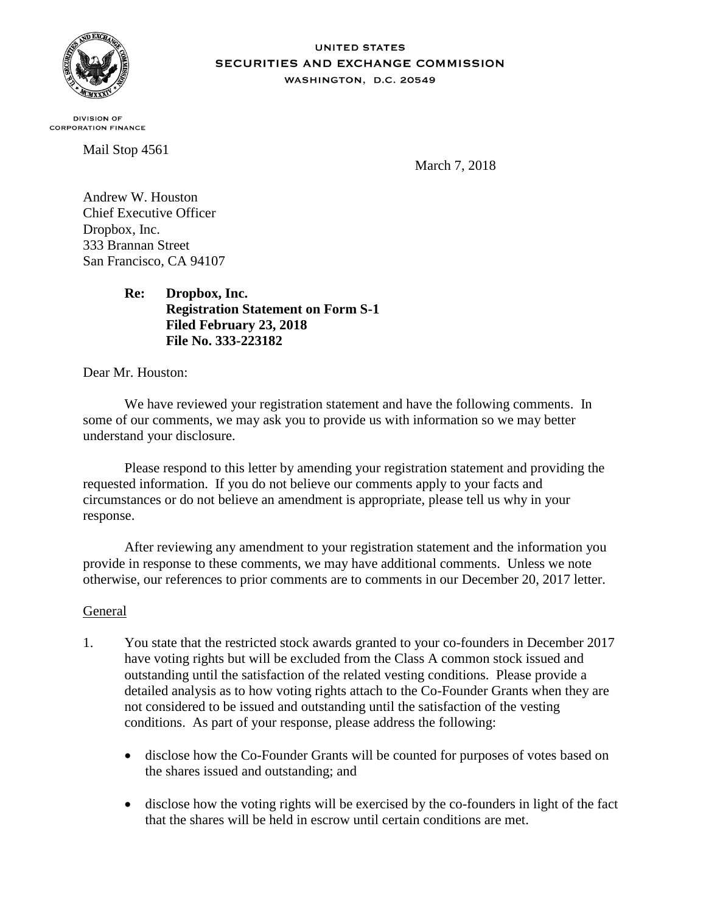

#### **UNITED STATES** SECURITIES AND EXCHANGE COMMISSION WASHINGTON, D.C. 20549

**DIVISION OF CORPORATION FINANCE** 

Mail Stop 4561

March 7, 2018

Andrew W. Houston Chief Executive Officer Dropbox, Inc. 333 Brannan Street San Francisco, CA 94107

> **Re: Dropbox, Inc. Registration Statement on Form S-1 Filed February 23, 2018 File No. 333-223182**

Dear Mr. Houston:

We have reviewed your registration statement and have the following comments. In some of our comments, we may ask you to provide us with information so we may better understand your disclosure.

Please respond to this letter by amending your registration statement and providing the requested information. If you do not believe our comments apply to your facts and circumstances or do not believe an amendment is appropriate, please tell us why in your response.

After reviewing any amendment to your registration statement and the information you provide in response to these comments, we may have additional comments. Unless we note otherwise, our references to prior comments are to comments in our December 20, 2017 letter.

### General

- 1. You state that the restricted stock awards granted to your co-founders in December 2017 have voting rights but will be excluded from the Class A common stock issued and outstanding until the satisfaction of the related vesting conditions. Please provide a detailed analysis as to how voting rights attach to the Co-Founder Grants when they are not considered to be issued and outstanding until the satisfaction of the vesting conditions. As part of your response, please address the following:
	- disclose how the Co-Founder Grants will be counted for purposes of votes based on the shares issued and outstanding; and
	- disclose how the voting rights will be exercised by the co-founders in light of the fact that the shares will be held in escrow until certain conditions are met.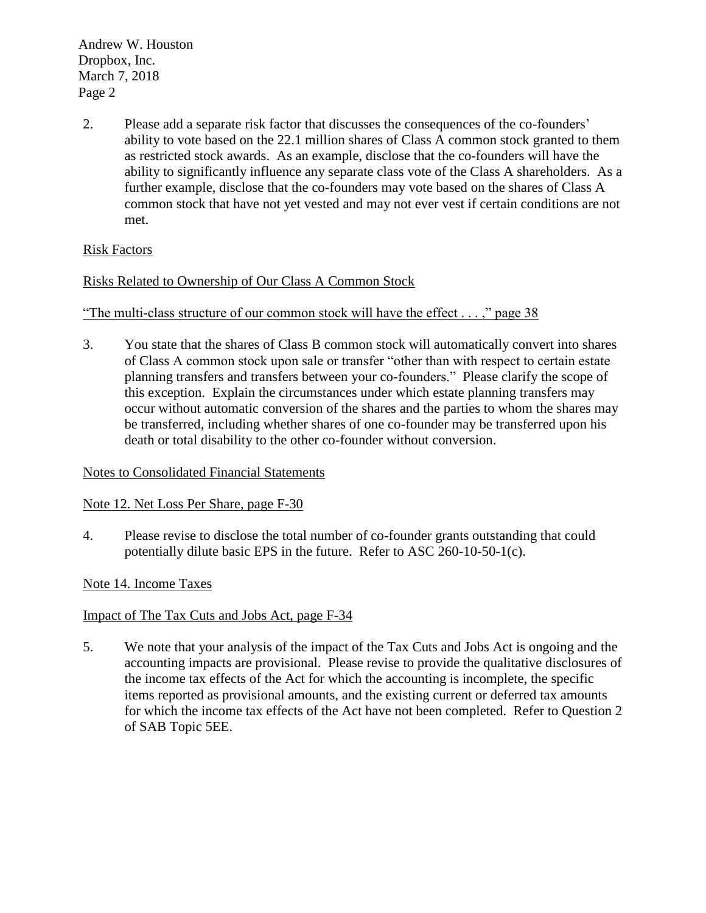Andrew W. Houston Dropbox, Inc. March 7, 2018 Page 2

2. Please add a separate risk factor that discusses the consequences of the co-founders' ability to vote based on the 22.1 million shares of Class A common stock granted to them as restricted stock awards. As an example, disclose that the co-founders will have the ability to significantly influence any separate class vote of the Class A shareholders. As a further example, disclose that the co-founders may vote based on the shares of Class A common stock that have not yet vested and may not ever vest if certain conditions are not met.

# Risk Factors

# Risks Related to Ownership of Our Class A Common Stock

### "The multi-class structure of our common stock will have the effect . . . ," page 38

3. You state that the shares of Class B common stock will automatically convert into shares of Class A common stock upon sale or transfer "other than with respect to certain estate planning transfers and transfers between your co-founders." Please clarify the scope of this exception. Explain the circumstances under which estate planning transfers may occur without automatic conversion of the shares and the parties to whom the shares may be transferred, including whether shares of one co-founder may be transferred upon his death or total disability to the other co-founder without conversion.

### Notes to Consolidated Financial Statements

### Note 12. Net Loss Per Share, page F-30

4. Please revise to disclose the total number of co-founder grants outstanding that could potentially dilute basic EPS in the future. Refer to ASC 260-10-50-1(c).

## Note 14. Income Taxes

### Impact of The Tax Cuts and Jobs Act, page F-34

5. We note that your analysis of the impact of the Tax Cuts and Jobs Act is ongoing and the accounting impacts are provisional. Please revise to provide the qualitative disclosures of the income tax effects of the Act for which the accounting is incomplete, the specific items reported as provisional amounts, and the existing current or deferred tax amounts for which the income tax effects of the Act have not been completed. Refer to Question 2 of SAB Topic 5EE.